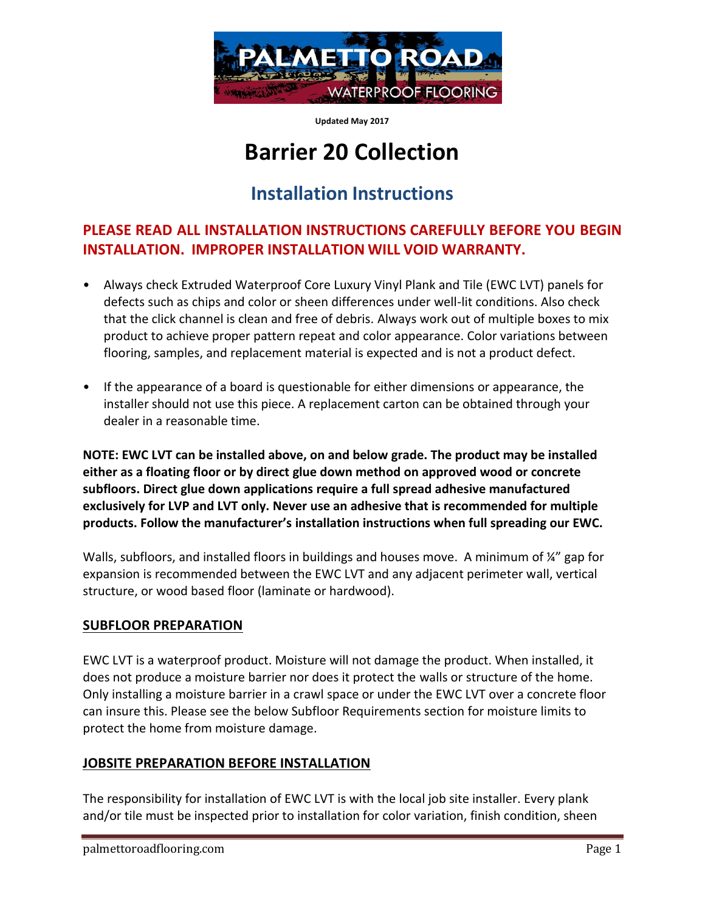

**Updated May 2017**

# **Barrier 20 Collection**

## **Installation Instructions**

### **PLEASE READ ALL INSTALLATION INSTRUCTIONS CAREFULLY BEFORE YOU BEGIN INSTALLATION. IMPROPER INSTALLATION WILL VOID WARRANTY.**

- Always check Extruded Waterproof Core Luxury Vinyl Plank and Tile (EWC LVT) panels for defects such as chips and color or sheen differences under well-lit conditions. Also check that the click channel is clean and free of debris. Always work out of multiple boxes to mix product to achieve proper pattern repeat and color appearance. Color variations between flooring, samples, and replacement material is expected and is not a product defect.
- If the appearance of a board is questionable for either dimensions or appearance, the installer should not use this piece. A replacement carton can be obtained through your dealer in a reasonable time.

**NOTE: EWC LVT can be installed above, on and below grade. The product may be installed either as a floating floor or by direct glue down method on approved wood or concrete subfloors. Direct glue down applications require a full spread adhesive manufactured exclusively for LVP and LVT only. Never use an adhesive that is recommended for multiple products. Follow the manufacturer's installation instructions when full spreading our EWC.**

Walls, subfloors, and installed floors in buildings and houses move. A minimum of  $\frac{1}{4}$  gap for expansion is recommended between the EWC LVT and any adjacent perimeter wall, vertical structure, or wood based floor (laminate or hardwood).

#### **SUBFLOOR PREPARATION**

EWC LVT is a waterproof product. Moisture will not damage the product. When installed, it does not produce a moisture barrier nor does it protect the walls or structure of the home. Only installing a moisture barrier in a crawl space or under the EWC LVT over a concrete floor can insure this. Please see the below Subfloor Requirements section for moisture limits to protect the home from moisture damage.

#### **JOBSITE PREPARATION BEFORE INSTALLATION**

The responsibility for installation of EWC LVT is with the local job site installer. Every plank and/or tile must be inspected prior to installation for color variation, finish condition, sheen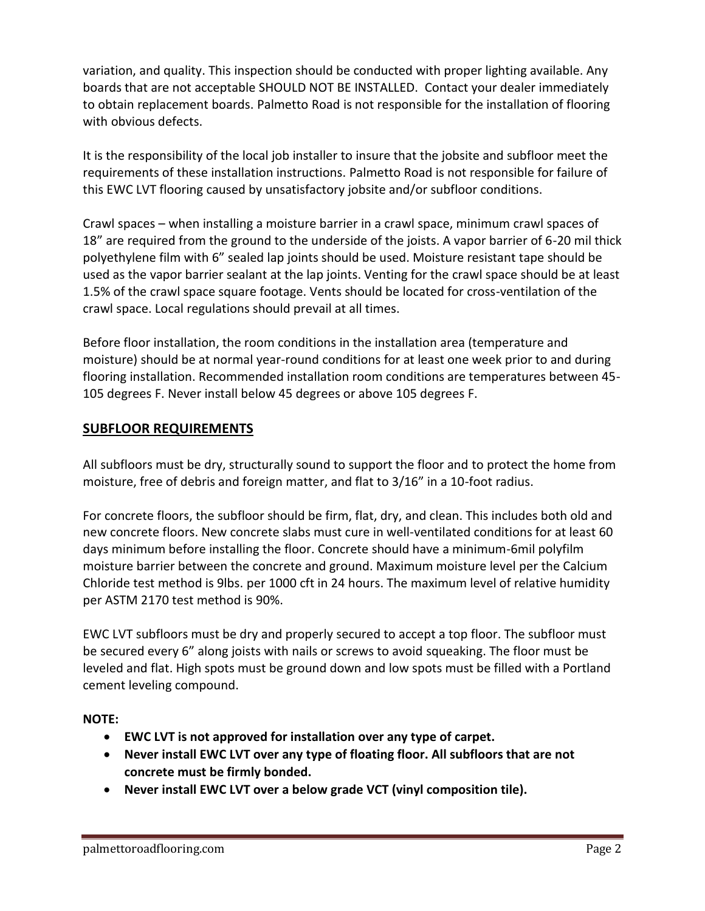variation, and quality. This inspection should be conducted with proper lighting available. Any boards that are not acceptable SHOULD NOT BE INSTALLED. Contact your dealer immediately to obtain replacement boards. Palmetto Road is not responsible for the installation of flooring with obvious defects.

It is the responsibility of the local job installer to insure that the jobsite and subfloor meet the requirements of these installation instructions. Palmetto Road is not responsible for failure of this EWC LVT flooring caused by unsatisfactory jobsite and/or subfloor conditions.

Crawl spaces – when installing a moisture barrier in a crawl space, minimum crawl spaces of 18" are required from the ground to the underside of the joists. A vapor barrier of 6-20 mil thick polyethylene film with 6" sealed lap joints should be used. Moisture resistant tape should be used as the vapor barrier sealant at the lap joints. Venting for the crawl space should be at least 1.5% of the crawl space square footage. Vents should be located for cross-ventilation of the crawl space. Local regulations should prevail at all times.

Before floor installation, the room conditions in the installation area (temperature and moisture) should be at normal year-round conditions for at least one week prior to and during flooring installation. Recommended installation room conditions are temperatures between 45- 105 degrees F. Never install below 45 degrees or above 105 degrees F.

#### **SUBFLOOR REQUIREMENTS**

All subfloors must be dry, structurally sound to support the floor and to protect the home from moisture, free of debris and foreign matter, and flat to 3/16" in a 10-foot radius.

For concrete floors, the subfloor should be firm, flat, dry, and clean. This includes both old and new concrete floors. New concrete slabs must cure in well-ventilated conditions for at least 60 days minimum before installing the floor. Concrete should have a minimum-6mil polyfilm moisture barrier between the concrete and ground. Maximum moisture level per the Calcium Chloride test method is 9lbs. per 1000 cft in 24 hours. The maximum level of relative humidity per ASTM 2170 test method is 90%.

EWC LVT subfloors must be dry and properly secured to accept a top floor. The subfloor must be secured every 6" along joists with nails or screws to avoid squeaking. The floor must be leveled and flat. High spots must be ground down and low spots must be filled with a Portland cement leveling compound.

#### **NOTE:**

- **EWC LVT is not approved for installation over any type of carpet.**
- **Never install EWC LVT over any type of floating floor. All subfloors that are not concrete must be firmly bonded.**
- **Never install EWC LVT over a below grade VCT (vinyl composition tile).**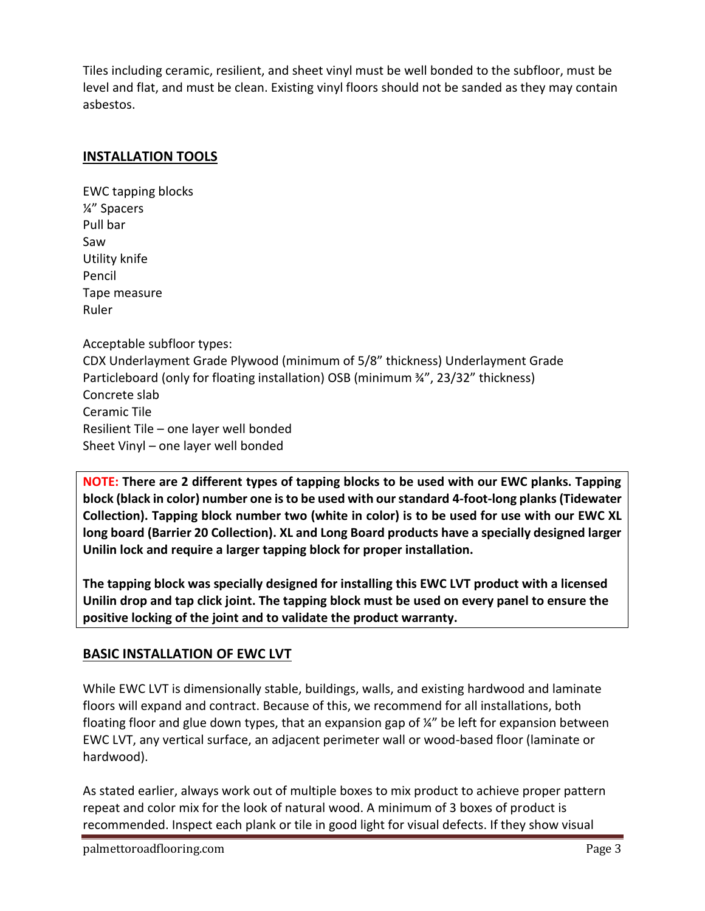Tiles including ceramic, resilient, and sheet vinyl must be well bonded to the subfloor, must be level and flat, and must be clean. Existing vinyl floors should not be sanded as they may contain asbestos.

#### **INSTALLATION TOOLS**

EWC tapping blocks ¼" Spacers Pull bar Saw Utility knife Pencil Tape measure Ruler Acceptable subfloor types: CDX Underlayment Grade Plywood (minimum of 5/8" thickness) Underlayment Grade Particleboard (only for floating installation) OSB (minimum ¾", 23/32" thickness) Concrete slab Ceramic Tile Resilient Tile – one layer well bonded Sheet Vinyl – one layer well bonded

**NOTE: There are 2 different types of tapping blocks to be used with our EWC planks. Tapping block (black in color) number one is to be used with our standard 4-foot-long planks(Tidewater Collection). Tapping block number two (white in color) is to be used for use with our EWC XL long board (Barrier 20 Collection). XL and Long Board products have a specially designed larger Unilin lock and require a larger tapping block for proper installation.**

**The tapping block was specially designed for installing this EWC LVT product with a licensed Unilin drop and tap click joint. The tapping block must be used on every panel to ensure the positive locking of the joint and to validate the product warranty.**

#### **BASIC INSTALLATION OF EWC LVT**

While EWC LVT is dimensionally stable, buildings, walls, and existing hardwood and laminate floors will expand and contract. Because of this, we recommend for all installations, both floating floor and glue down types, that an expansion gap of ¼" be left for expansion between EWC LVT, any vertical surface, an adjacent perimeter wall or wood-based floor (laminate or hardwood).

As stated earlier, always work out of multiple boxes to mix product to achieve proper pattern repeat and color mix for the look of natural wood. A minimum of 3 boxes of product is recommended. Inspect each plank or tile in good light for visual defects. If they show visual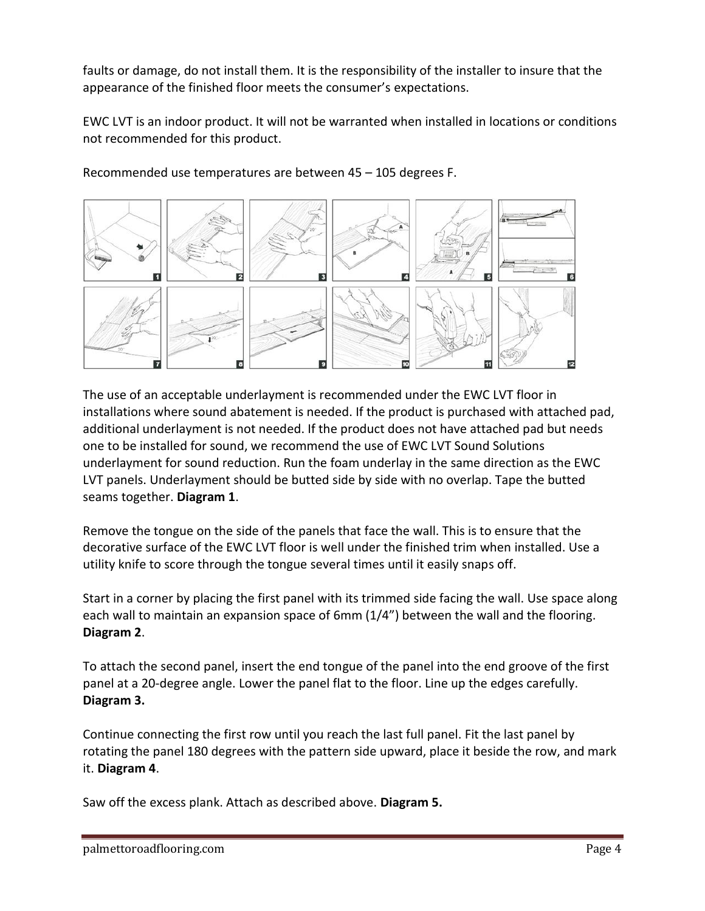faults or damage, do not install them. It is the responsibility of the installer to insure that the appearance of the finished floor meets the consumer's expectations.

EWC LVT is an indoor product. It will not be warranted when installed in locations or conditions not recommended for this product.



Recommended use temperatures are between 45 – 105 degrees F.

The use of an acceptable underlayment is recommended under the EWC LVT floor in installations where sound abatement is needed. If the product is purchased with attached pad, additional underlayment is not needed. If the product does not have attached pad but needs one to be installed for sound, we recommend the use of EWC LVT Sound Solutions underlayment for sound reduction. Run the foam underlay in the same direction as the EWC LVT panels. Underlayment should be butted side by side with no overlap. Tape the butted seams together. **Diagram 1**.

Remove the tongue on the side of the panels that face the wall. This is to ensure that the decorative surface of the EWC LVT floor is well under the finished trim when installed. Use a utility knife to score through the tongue several times until it easily snaps off.

Start in a corner by placing the first panel with its trimmed side facing the wall. Use space along each wall to maintain an expansion space of 6mm (1/4") between the wall and the flooring. **Diagram 2**.

To attach the second panel, insert the end tongue of the panel into the end groove of the first panel at a 20-degree angle. Lower the panel flat to the floor. Line up the edges carefully. **Diagram 3.**

Continue connecting the first row until you reach the last full panel. Fit the last panel by rotating the panel 180 degrees with the pattern side upward, place it beside the row, and mark it. **Diagram 4**.

Saw off the excess plank. Attach as described above. **Diagram 5.**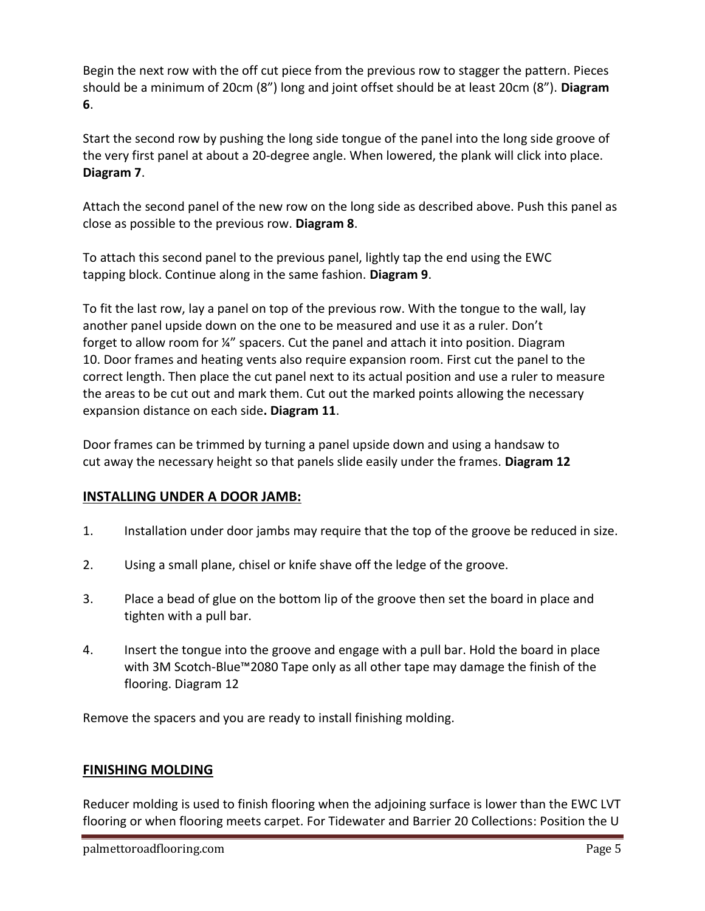Begin the next row with the off cut piece from the previous row to stagger the pattern. Pieces should be a minimum of 20cm (8") long and joint offset should be at least 20cm (8"). **Diagram 6**.

Start the second row by pushing the long side tongue of the panel into the long side groove of the very first panel at about a 20-degree angle. When lowered, the plank will click into place. **Diagram 7**.

Attach the second panel of the new row on the long side as described above. Push this panel as close as possible to the previous row. **Diagram 8**.

To attach this second panel to the previous panel, lightly tap the end using the EWC tapping block. Continue along in the same fashion. **Diagram 9**.

To fit the last row, lay a panel on top of the previous row. With the tongue to the wall, lay another panel upside down on the one to be measured and use it as a ruler. Don't forget to allow room for ¼" spacers. Cut the panel and attach it into position. Diagram 10. Door frames and heating vents also require expansion room. First cut the panel to the correct length. Then place the cut panel next to its actual position and use a ruler to measure the areas to be cut out and mark them. Cut out the marked points allowing the necessary expansion distance on each side**. Diagram 11**.

Door frames can be trimmed by turning a panel upside down and using a handsaw to cut away the necessary height so that panels slide easily under the frames. **Diagram 12**

#### **INSTALLING UNDER A DOOR JAMB:**

- 1. Installation under door jambs may require that the top of the groove be reduced in size.
- 2. Using a small plane, chisel or knife shave off the ledge of the groove.
- 3. Place a bead of glue on the bottom lip of the groove then set the board in place and tighten with a pull bar.
- 4. Insert the tongue into the groove and engage with a pull bar. Hold the board in place with 3M Scotch-Blue™2080 Tape only as all other tape may damage the finish of the flooring. Diagram 12

Remove the spacers and you are ready to install finishing molding.

#### **FINISHING MOLDING**

Reducer molding is used to finish flooring when the adjoining surface is lower than the EWC LVT flooring or when flooring meets carpet. For Tidewater and Barrier 20 Collections: Position the U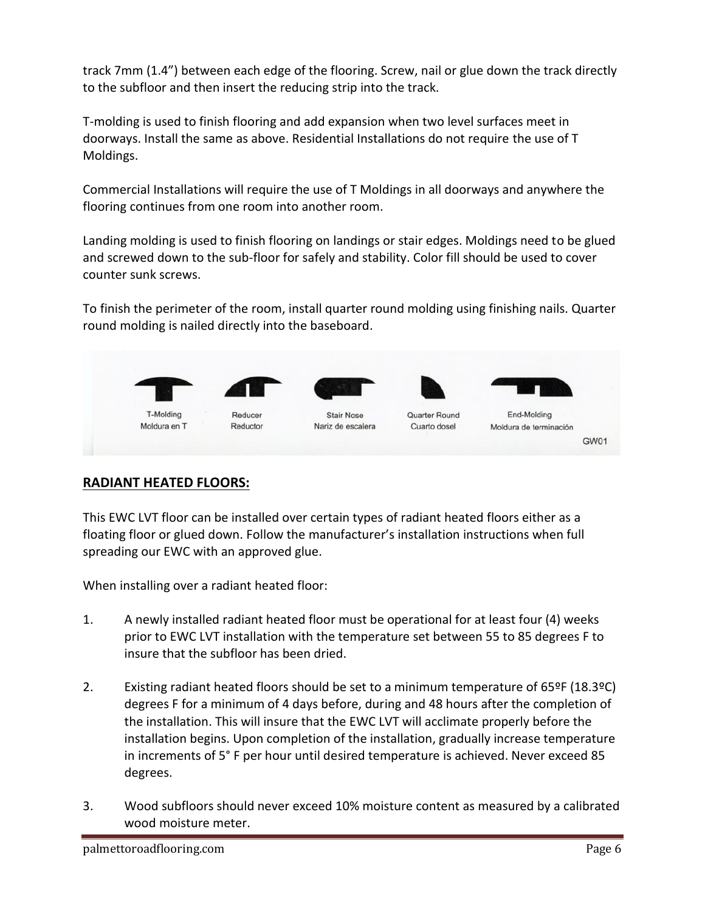track 7mm (1.4") between each edge of the flooring. Screw, nail or glue down the track directly to the subfloor and then insert the reducing strip into the track.

T-molding is used to finish flooring and add expansion when two level surfaces meet in doorways. Install the same as above. Residential Installations do not require the use of T Moldings.

Commercial Installations will require the use of T Moldings in all doorways and anywhere the flooring continues from one room into another room.

Landing molding is used to finish flooring on landings or stair edges. Moldings need to be glued and screwed down to the sub-floor for safely and stability. Color fill should be used to cover counter sunk screws.

To finish the perimeter of the room, install quarter round molding using finishing nails. Quarter round molding is nailed directly into the baseboard.



#### **RADIANT HEATED FLOORS:**

This EWC LVT floor can be installed over certain types of radiant heated floors either as a floating floor or glued down. Follow the manufacturer's installation instructions when full spreading our EWC with an approved glue.

When installing over a radiant heated floor:

- 1. A newly installed radiant heated floor must be operational for at least four (4) weeks prior to EWC LVT installation with the temperature set between 55 to 85 degrees F to insure that the subfloor has been dried.
- 2. Existing radiant heated floors should be set to a minimum temperature of 65ºF (18.3ºC) degrees F for a minimum of 4 days before, during and 48 hours after the completion of the installation. This will insure that the EWC LVT will acclimate properly before the installation begins. Upon completion of the installation, gradually increase temperature in increments of 5° F per hour until desired temperature is achieved. Never exceed 85 degrees.
- 3. Wood subfloors should never exceed 10% moisture content as measured by a calibrated wood moisture meter.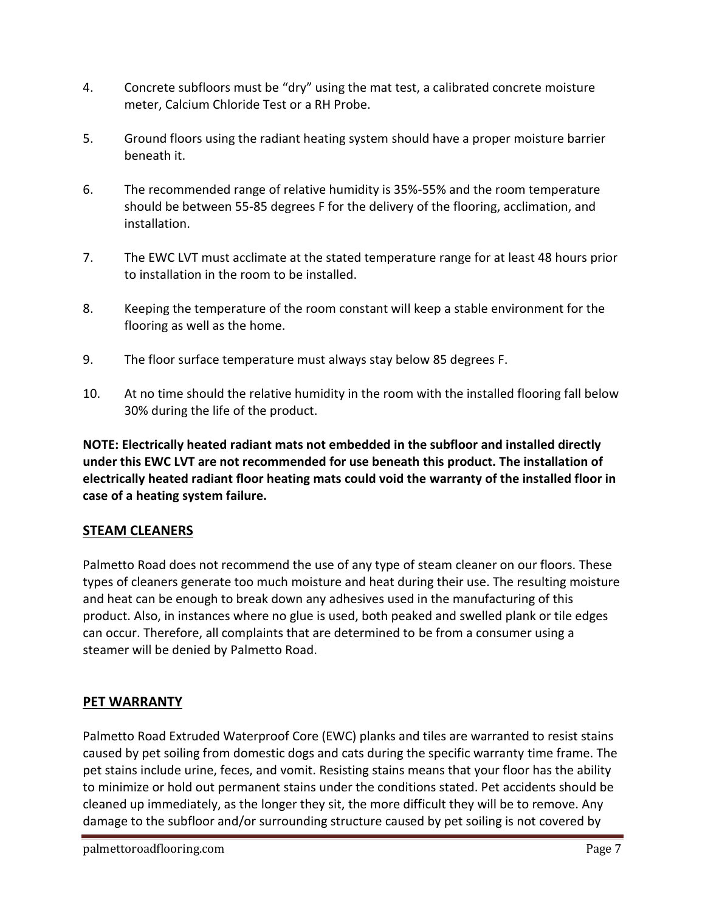- 4. Concrete subfloors must be "dry" using the mat test, a calibrated concrete moisture meter, Calcium Chloride Test or a RH Probe.
- 5. Ground floors using the radiant heating system should have a proper moisture barrier beneath it.
- 6. The recommended range of relative humidity is 35%-55% and the room temperature should be between 55-85 degrees F for the delivery of the flooring, acclimation, and installation.
- 7. The EWC LVT must acclimate at the stated temperature range for at least 48 hours prior to installation in the room to be installed.
- 8. Keeping the temperature of the room constant will keep a stable environment for the flooring as well as the home.
- 9. The floor surface temperature must always stay below 85 degrees F.
- 10. At no time should the relative humidity in the room with the installed flooring fall below 30% during the life of the product.

**NOTE: Electrically heated radiant mats not embedded in the subfloor and installed directly under this EWC LVT are not recommended for use beneath this product. The installation of electrically heated radiant floor heating mats could void the warranty of the installed floor in case of a heating system failure.**

#### **STEAM CLEANERS**

Palmetto Road does not recommend the use of any type of steam cleaner on our floors. These types of cleaners generate too much moisture and heat during their use. The resulting moisture and heat can be enough to break down any adhesives used in the manufacturing of this product. Also, in instances where no glue is used, both peaked and swelled plank or tile edges can occur. Therefore, all complaints that are determined to be from a consumer using a steamer will be denied by Palmetto Road.

#### **PET WARRANTY**

Palmetto Road Extruded Waterproof Core (EWC) planks and tiles are warranted to resist stains caused by pet soiling from domestic dogs and cats during the specific warranty time frame. The pet stains include urine, feces, and vomit. Resisting stains means that your floor has the ability to minimize or hold out permanent stains under the conditions stated. Pet accidents should be cleaned up immediately, as the longer they sit, the more difficult they will be to remove. Any damage to the subfloor and/or surrounding structure caused by pet soiling is not covered by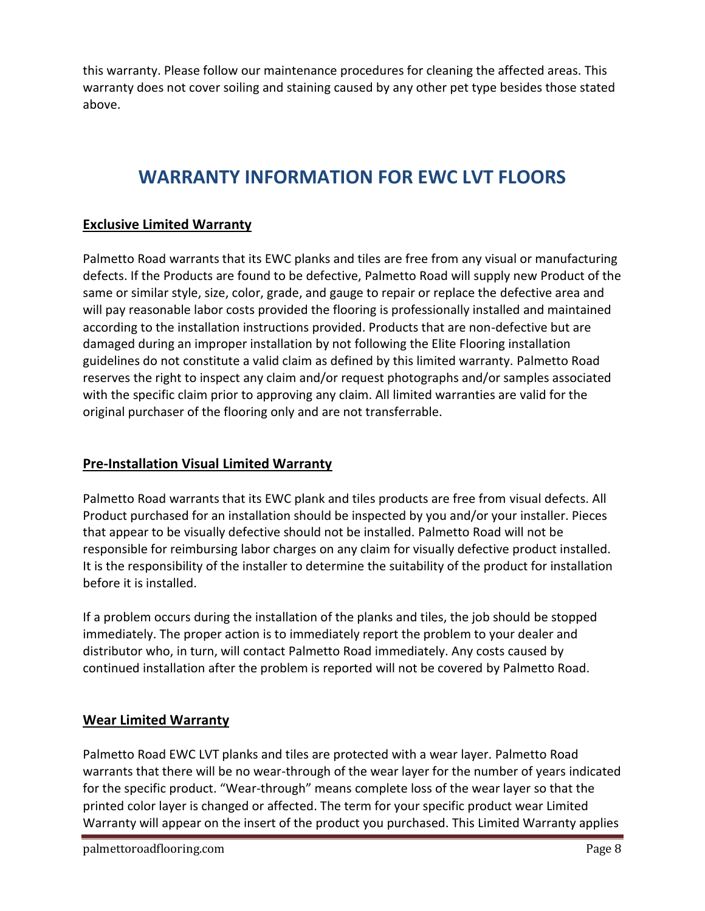this warranty. Please follow our maintenance procedures for cleaning the affected areas. This warranty does not cover soiling and staining caused by any other pet type besides those stated above.

## **WARRANTY INFORMATION FOR EWC LVT FLOORS**

#### **Exclusive Limited Warranty**

Palmetto Road warrants that its EWC planks and tiles are free from any visual or manufacturing defects. If the Products are found to be defective, Palmetto Road will supply new Product of the same or similar style, size, color, grade, and gauge to repair or replace the defective area and will pay reasonable labor costs provided the flooring is professionally installed and maintained according to the installation instructions provided. Products that are non-defective but are damaged during an improper installation by not following the Elite Flooring installation guidelines do not constitute a valid claim as defined by this limited warranty. Palmetto Road reserves the right to inspect any claim and/or request photographs and/or samples associated with the specific claim prior to approving any claim. All limited warranties are valid for the original purchaser of the flooring only and are not transferrable.

#### **Pre-Installation Visual Limited Warranty**

Palmetto Road warrants that its EWC plank and tiles products are free from visual defects. All Product purchased for an installation should be inspected by you and/or your installer. Pieces that appear to be visually defective should not be installed. Palmetto Road will not be responsible for reimbursing labor charges on any claim for visually defective product installed. It is the responsibility of the installer to determine the suitability of the product for installation before it is installed.

If a problem occurs during the installation of the planks and tiles, the job should be stopped immediately. The proper action is to immediately report the problem to your dealer and distributor who, in turn, will contact Palmetto Road immediately. Any costs caused by continued installation after the problem is reported will not be covered by Palmetto Road.

#### **Wear Limited Warranty**

Palmetto Road EWC LVT planks and tiles are protected with a wear layer. Palmetto Road warrants that there will be no wear-through of the wear layer for the number of years indicated for the specific product. "Wear-through" means complete loss of the wear layer so that the printed color layer is changed or affected. The term for your specific product wear Limited Warranty will appear on the insert of the product you purchased. This Limited Warranty applies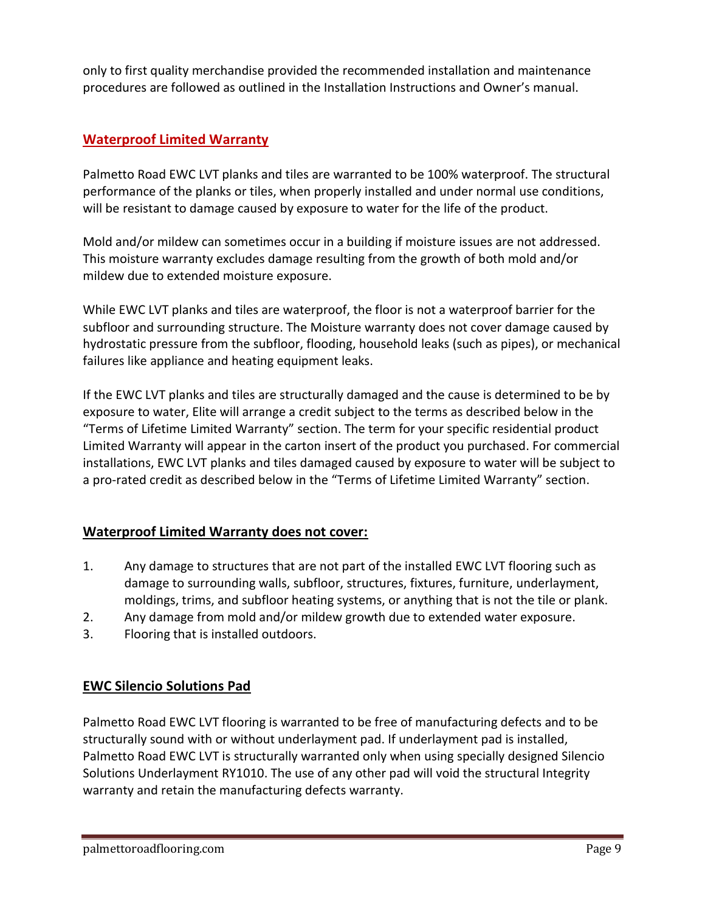only to first quality merchandise provided the recommended installation and maintenance procedures are followed as outlined in the Installation Instructions and Owner's manual.

#### **Waterproof Limited Warranty**

Palmetto Road EWC LVT planks and tiles are warranted to be 100% waterproof. The structural performance of the planks or tiles, when properly installed and under normal use conditions, will be resistant to damage caused by exposure to water for the life of the product.

Mold and/or mildew can sometimes occur in a building if moisture issues are not addressed. This moisture warranty excludes damage resulting from the growth of both mold and/or mildew due to extended moisture exposure.

While EWC LVT planks and tiles are waterproof, the floor is not a waterproof barrier for the subfloor and surrounding structure. The Moisture warranty does not cover damage caused by hydrostatic pressure from the subfloor, flooding, household leaks (such as pipes), or mechanical failures like appliance and heating equipment leaks.

If the EWC LVT planks and tiles are structurally damaged and the cause is determined to be by exposure to water, Elite will arrange a credit subject to the terms as described below in the "Terms of Lifetime Limited Warranty" section. The term for your specific residential product Limited Warranty will appear in the carton insert of the product you purchased. For commercial installations, EWC LVT planks and tiles damaged caused by exposure to water will be subject to a pro-rated credit as described below in the "Terms of Lifetime Limited Warranty" section.

#### **Waterproof Limited Warranty does not cover:**

- 1. Any damage to structures that are not part of the installed EWC LVT flooring such as damage to surrounding walls, subfloor, structures, fixtures, furniture, underlayment, moldings, trims, and subfloor heating systems, or anything that is not the tile or plank.
- 2. Any damage from mold and/or mildew growth due to extended water exposure.
- 3. Flooring that is installed outdoors.

#### **EWC Silencio Solutions Pad**

Palmetto Road EWC LVT flooring is warranted to be free of manufacturing defects and to be structurally sound with or without underlayment pad. If underlayment pad is installed, Palmetto Road EWC LVT is structurally warranted only when using specially designed Silencio Solutions Underlayment RY1010. The use of any other pad will void the structural Integrity warranty and retain the manufacturing defects warranty.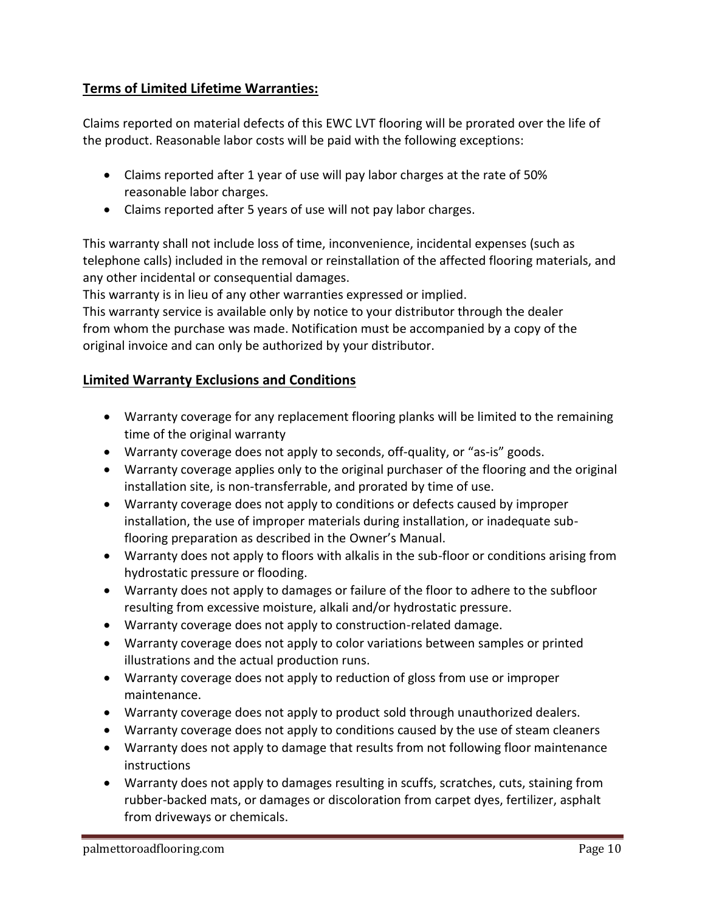#### **Terms of Limited Lifetime Warranties:**

Claims reported on material defects of this EWC LVT flooring will be prorated over the life of the product. Reasonable labor costs will be paid with the following exceptions:

- Claims reported after 1 year of use will pay labor charges at the rate of 50% reasonable labor charges.
- Claims reported after 5 years of use will not pay labor charges.

This warranty shall not include loss of time, inconvenience, incidental expenses (such as telephone calls) included in the removal or reinstallation of the affected flooring materials, and any other incidental or consequential damages.

This warranty is in lieu of any other warranties expressed or implied.

This warranty service is available only by notice to your distributor through the dealer from whom the purchase was made. Notification must be accompanied by a copy of the original invoice and can only be authorized by your distributor.

#### **Limited Warranty Exclusions and Conditions**

- Warranty coverage for any replacement flooring planks will be limited to the remaining time of the original warranty
- Warranty coverage does not apply to seconds, off-quality, or "as-is" goods.
- Warranty coverage applies only to the original purchaser of the flooring and the original installation site, is non-transferrable, and prorated by time of use.
- Warranty coverage does not apply to conditions or defects caused by improper installation, the use of improper materials during installation, or inadequate subflooring preparation as described in the Owner's Manual.
- Warranty does not apply to floors with alkalis in the sub-floor or conditions arising from hydrostatic pressure or flooding.
- Warranty does not apply to damages or failure of the floor to adhere to the subfloor resulting from excessive moisture, alkali and/or hydrostatic pressure.
- Warranty coverage does not apply to construction-related damage.
- Warranty coverage does not apply to color variations between samples or printed illustrations and the actual production runs.
- Warranty coverage does not apply to reduction of gloss from use or improper maintenance.
- Warranty coverage does not apply to product sold through unauthorized dealers.
- Warranty coverage does not apply to conditions caused by the use of steam cleaners
- Warranty does not apply to damage that results from not following floor maintenance instructions
- Warranty does not apply to damages resulting in scuffs, scratches, cuts, staining from rubber-backed mats, or damages or discoloration from carpet dyes, fertilizer, asphalt from driveways or chemicals.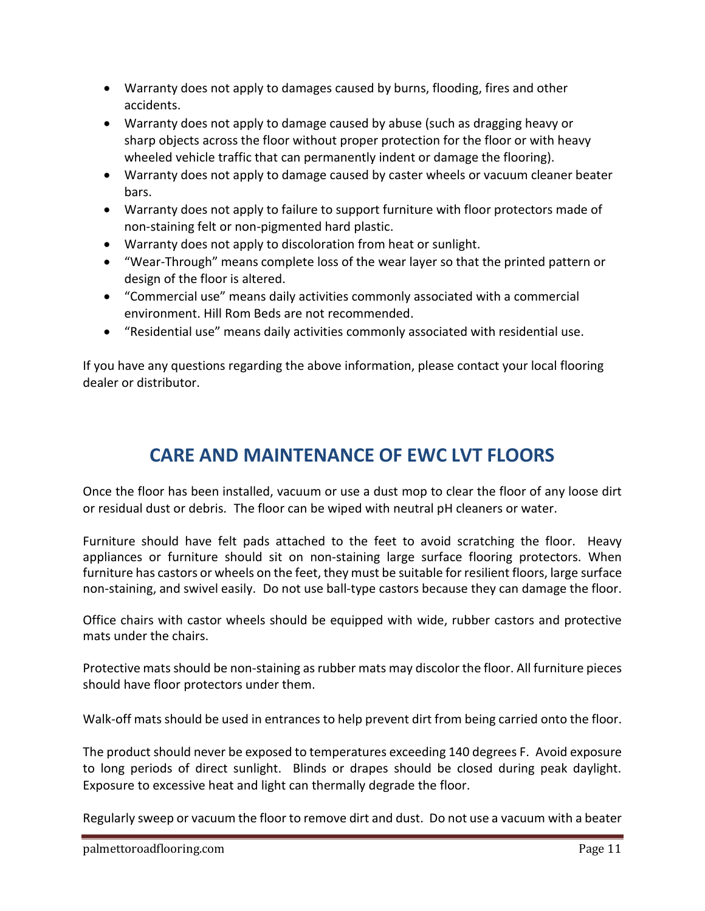- Warranty does not apply to damages caused by burns, flooding, fires and other accidents.
- Warranty does not apply to damage caused by abuse (such as dragging heavy or sharp objects across the floor without proper protection for the floor or with heavy wheeled vehicle traffic that can permanently indent or damage the flooring).
- Warranty does not apply to damage caused by caster wheels or vacuum cleaner beater bars.
- Warranty does not apply to failure to support furniture with floor protectors made of non-staining felt or non-pigmented hard plastic.
- Warranty does not apply to discoloration from heat or sunlight.
- "Wear-Through" means complete loss of the wear layer so that the printed pattern or design of the floor is altered.
- "Commercial use" means daily activities commonly associated with a commercial environment. Hill Rom Beds are not recommended.
- "Residential use" means daily activities commonly associated with residential use.

If you have any questions regarding the above information, please contact your local flooring dealer or distributor.

### **CARE AND MAINTENANCE OF EWC LVT FLOORS**

Once the floor has been installed, vacuum or use a dust mop to clear the floor of any loose dirt or residual dust or debris. The floor can be wiped with neutral pH cleaners or water.

Furniture should have felt pads attached to the feet to avoid scratching the floor. Heavy appliances or furniture should sit on non-staining large surface flooring protectors. When furniture has castors or wheels on the feet, they must be suitable for resilient floors, large surface non-staining, and swivel easily. Do not use ball-type castors because they can damage the floor.

Office chairs with castor wheels should be equipped with wide, rubber castors and protective mats under the chairs.

Protective matsshould be non-staining as rubber mats may discolor the floor. All furniture pieces should have floor protectors under them.

Walk-off mats should be used in entrances to help prevent dirt from being carried onto the floor.

The product should never be exposed to temperatures exceeding 140 degrees F. Avoid exposure to long periods of direct sunlight. Blinds or drapes should be closed during peak daylight. Exposure to excessive heat and light can thermally degrade the floor.

Regularly sweep or vacuum the floor to remove dirt and dust. Do not use a vacuum with a beater